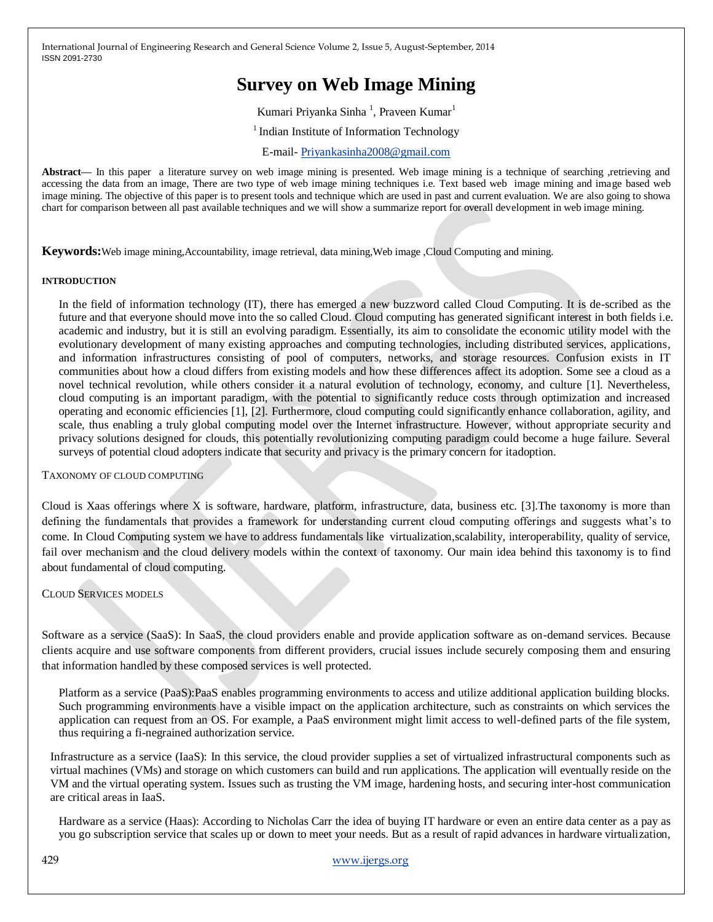# **Survey on Web Image Mining**

Kumari Priyanka Sinha<sup>1</sup>, Praveen Kumar<sup>1</sup>

<sup>1</sup> Indian Institute of Information Technology

E-mail- [Priyankasinha2008@gmail.com](mailto:Priyankasinha2008@gmail.com)

**Abstract—** In this paper a literature survey on web image mining is presented. Web image mining is a technique of searching ,retrieving and accessing the data from an image, There are two type of web image mining techniques i.e. Text based web image mining and image based web image mining. The objective of this paper is to present tools and technique which are used in past and current evaluation. We are also going to showa chart for comparison between all past available techniques and we will show a summarize report for overall development in web image mining.

**Keywords:**Web image mining,Accountability, image retrieval, data mining,Web image ,Cloud Computing and mining.

#### **INTRODUCTION**

In the field of information technology (IT), there has emerged a new buzzword called Cloud Computing. It is de-scribed as the future and that everyone should move into the so called Cloud. Cloud computing has generated significant interest in both fields i.e. academic and industry, but it is still an evolving paradigm. Essentially, its aim to consolidate the economic utility model with the evolutionary development of many existing approaches and computing technologies, including distributed services, applications, and information infrastructures consisting of pool of computers, networks, and storage resources. Confusion exists in IT communities about how a cloud differs from existing models and how these differences affect its adoption. Some see a cloud as a novel technical revolution, while others consider it a natural evolution of technology, economy, and culture [1]. Nevertheless, cloud computing is an important paradigm, with the potential to significantly reduce costs through optimization and increased operating and economic efficiencies [1], [2]. Furthermore, cloud computing could significantly enhance collaboration, agility, and scale, thus enabling a truly global computing model over the Internet infrastructure. However, without appropriate security and privacy solutions designed for clouds, this potentially revolutionizing computing paradigm could become a huge failure. Several surveys of potential cloud adopters indicate that security and privacy is the primary concern for itadoption.

TAXONOMY OF CLOUD COMPUTING

Cloud is Xaas offerings where X is software, hardware, platform, infrastructure, data, business etc. [3].The taxonomy is more than defining the fundamentals that provides a framework for understanding current cloud computing offerings and suggests what's to come. In Cloud Computing system we have to address fundamentals like virtualization,scalability, interoperability, quality of service, fail over mechanism and the cloud delivery models within the context of taxonomy. Our main idea behind this taxonomy is to find about fundamental of cloud computing.

# CLOUD SERVICES MODELS

Software as a service (SaaS): In SaaS, the cloud providers enable and provide application software as on-demand services. Because clients acquire and use software components from different providers, crucial issues include securely composing them and ensuring that information handled by these composed services is well protected.

Platform as a service (PaaS):PaaS enables programming environments to access and utilize additional application building blocks. Such programming environments have a visible impact on the application architecture, such as constraints on which services the application can request from an OS. For example, a PaaS environment might limit access to well-defined parts of the file system, thus requiring a fi-negrained authorization service.

Infrastructure as a service (IaaS): In this service, the cloud provider supplies a set of virtualized infrastructural components such as virtual machines (VMs) and storage on which customers can build and run applications. The application will eventually reside on the VM and the virtual operating system. Issues such as trusting the VM image, hardening hosts, and securing inter-host communication are critical areas in IaaS.

Hardware as a service (Haas): According to Nicholas Carr the idea of buying IT hardware or even an entire data center as a pay as you go subscription service that scales up or down to meet your needs. But as a result of rapid advances in hardware virtualization,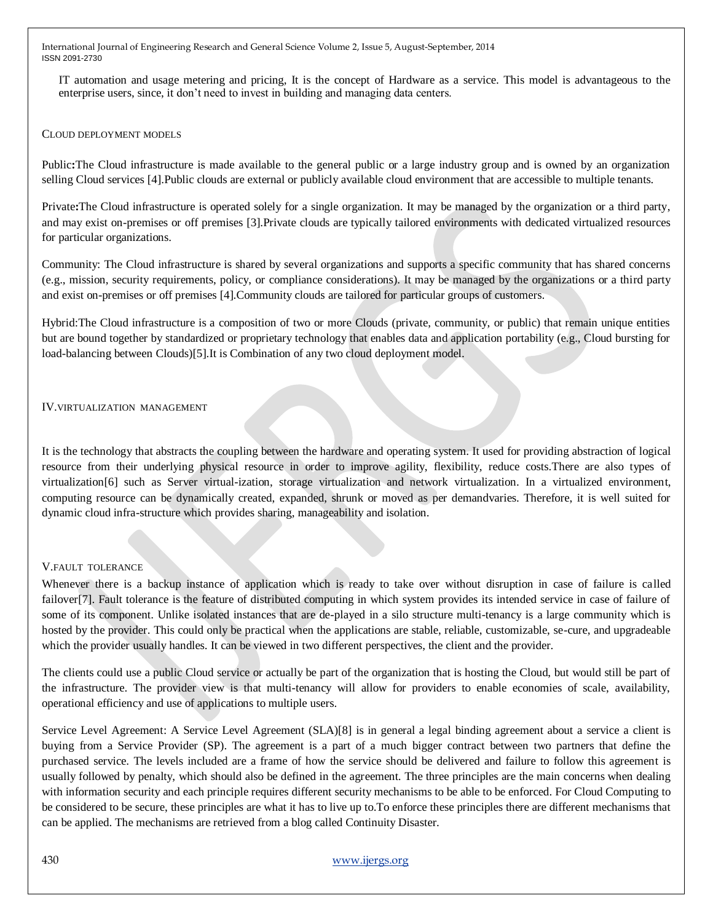IT automation and usage metering and pricing, It is the concept of Hardware as a service. This model is advantageous to the enterprise users, since, it don't need to invest in building and managing data centers.

#### CLOUD DEPLOYMENT MODELS

Public**:**The Cloud infrastructure is made available to the general public or a large industry group and is owned by an organization selling Cloud services [4].Public clouds are external or publicly available cloud environment that are accessible to multiple tenants.

Private**:**The Cloud infrastructure is operated solely for a single organization. It may be managed by the organization or a third party, and may exist on-premises or off premises [3].Private clouds are typically tailored environments with dedicated virtualized resources for particular organizations.

Community: The Cloud infrastructure is shared by several organizations and supports a specific community that has shared concerns (e.g., mission, security requirements, policy, or compliance considerations). It may be managed by the organizations or a third party and exist on-premises or off premises [4].Community clouds are tailored for particular groups of customers.

Hybrid:The Cloud infrastructure is a composition of two or more Clouds (private, community, or public) that remain unique entities but are bound together by standardized or proprietary technology that enables data and application portability (e.g., Cloud bursting for load-balancing between Clouds)[5].It is Combination of any two cloud deployment model.

#### IV.VIRTUALIZATION MANAGEMENT

It is the technology that abstracts the coupling between the hardware and operating system. It used for providing abstraction of logical resource from their underlying physical resource in order to improve agility, flexibility, reduce costs.There are also types of virtualization[6] such as Server virtual-ization, storage virtualization and network virtualization. In a virtualized environment, computing resource can be dynamically created, expanded, shrunk or moved as per demandvaries. Therefore, it is well suited for dynamic cloud infra-structure which provides sharing, manageability and isolation.

# V.FAULT TOLERANCE

Whenever there is a backup instance of application which is ready to take over without disruption in case of failure is called failover[7]. Fault tolerance is the feature of distributed computing in which system provides its intended service in case of failure of some of its component. Unlike isolated instances that are de-played in a silo structure multi-tenancy is a large community which is hosted by the provider. This could only be practical when the applications are stable, reliable, customizable, se-cure, and upgradeable which the provider usually handles. It can be viewed in two different perspectives, the client and the provider.

The clients could use a public Cloud service or actually be part of the organization that is hosting the Cloud, but would still be part of the infrastructure. The provider view is that multi-tenancy will allow for providers to enable economies of scale, availability, operational efficiency and use of applications to multiple users.

Service Level Agreement: A Service Level Agreement (SLA)[8] is in general a legal binding agreement about a service a client is buying from a Service Provider (SP). The agreement is a part of a much bigger contract between two partners that define the purchased service. The levels included are a frame of how the service should be delivered and failure to follow this agreement is usually followed by penalty, which should also be defined in the agreement. The three principles are the main concerns when dealing with information security and each principle requires different security mechanisms to be able to be enforced. For Cloud Computing to be considered to be secure, these principles are what it has to live up to.To enforce these principles there are different mechanisms that can be applied. The mechanisms are retrieved from a blog called Continuity Disaster.

# 430 [www.ijergs.org](http://www.ijergs.org/)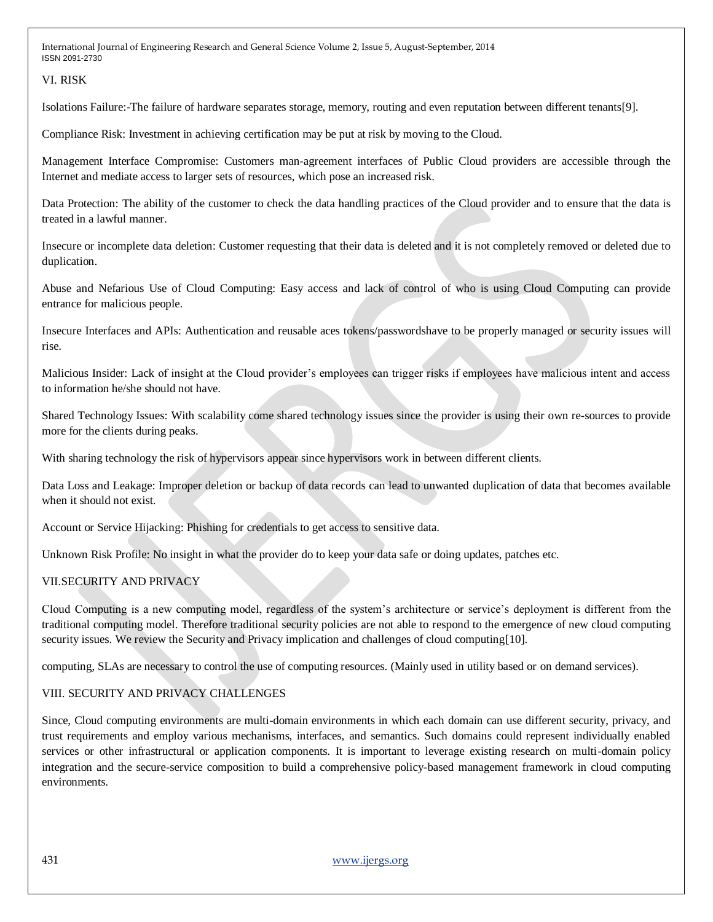# VI. RISK

Isolations Failure:-The failure of hardware separates storage, memory, routing and even reputation between different tenants[9].

Compliance Risk: Investment in achieving certification may be put at risk by moving to the Cloud.

Management Interface Compromise: Customers man-agreement interfaces of Public Cloud providers are accessible through the Internet and mediate access to larger sets of resources, which pose an increased risk.

Data Protection: The ability of the customer to check the data handling practices of the Cloud provider and to ensure that the data is treated in a lawful manner.

Insecure or incomplete data deletion: Customer requesting that their data is deleted and it is not completely removed or deleted due to duplication.

Abuse and Nefarious Use of Cloud Computing: Easy access and lack of control of who is using Cloud Computing can provide entrance for malicious people.

Insecure Interfaces and APIs: Authentication and reusable aces tokens/passwordshave to be properly managed or security issues will rise.

Malicious Insider: Lack of insight at the Cloud provider's employees can trigger risks if employees have malicious intent and access to information he/she should not have.

Shared Technology Issues: With scalability come shared technology issues since the provider is using their own re-sources to provide more for the clients during peaks.

With sharing technology the risk of hypervisors appear since hypervisors work in between different clients.

Data Loss and Leakage: Improper deletion or backup of data records can lead to unwanted duplication of data that becomes available when it should not exist.

Account or Service Hijacking: Phishing for credentials to get access to sensitive data.

Unknown Risk Profile: No insight in what the provider do to keep your data safe or doing updates, patches etc.

# VII.SECURITY AND PRIVACY

Cloud Computing is a new computing model, regardless of the system's architecture or service's deployment is different from the traditional computing model. Therefore traditional security policies are not able to respond to the emergence of new cloud computing security issues. We review the Security and Privacy implication and challenges of cloud computing [10].

computing, SLAs are necessary to control the use of computing resources. (Mainly used in utility based or on demand services).

# VIII. SECURITY AND PRIVACY CHALLENGES

Since, Cloud computing environments are multi-domain environments in which each domain can use different security, privacy, and trust requirements and employ various mechanisms, interfaces, and semantics. Such domains could represent individually enabled services or other infrastructural or application components. It is important to leverage existing research on multi-domain policy integration and the secure-service composition to build a comprehensive policy-based management framework in cloud computing environments.